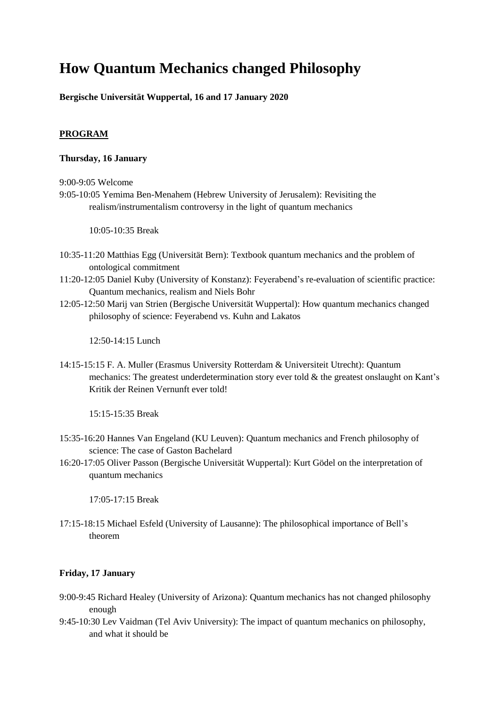## **How Quantum Mechanics changed Philosophy**

**Bergische Universität Wuppertal, 16 and 17 January 2020**

## **PROGRAM**

## **Thursday, 16 January**

9:00-9:05 Welcome

9:05-10:05 Yemima Ben-Menahem (Hebrew University of Jerusalem): Revisiting the realism/instrumentalism controversy in the light of quantum mechanics

10:05-10:35 Break

- 10:35-11:20 Matthias Egg (Universität Bern): Textbook quantum mechanics and the problem of ontological commitment
- 11:20-12:05 Daniel Kuby (University of Konstanz): Feyerabend's re-evaluation of scientific practice: Quantum mechanics, realism and Niels Bohr
- 12:05-12:50 Marij van Strien (Bergische Universität Wuppertal): How quantum mechanics changed philosophy of science: Feyerabend vs. Kuhn and Lakatos

12:50-14:15 Lunch

14:15-15:15 F. A. Muller (Erasmus University Rotterdam & Universiteit Utrecht): Quantum mechanics: The greatest underdetermination story ever told & the greatest onslaught on Kant's Kritik der Reinen Vernunft ever told!

15:15-15:35 Break

- 15:35-16:20 Hannes Van Engeland (KU Leuven): Quantum mechanics and French philosophy of science: The case of Gaston Bachelard
- 16:20-17:05 Oliver Passon (Bergische Universität Wuppertal): Kurt Gödel on the interpretation of quantum mechanics

17:05-17:15 Break

17:15-18:15 Michael Esfeld (University of Lausanne): The philosophical importance of Bell's theorem

## **Friday, 17 January**

- 9:00-9:45 Richard Healey (University of Arizona): Quantum mechanics has not changed philosophy enough
- 9:45-10:30 Lev Vaidman (Tel Aviv University): The impact of quantum mechanics on philosophy, and what it should be